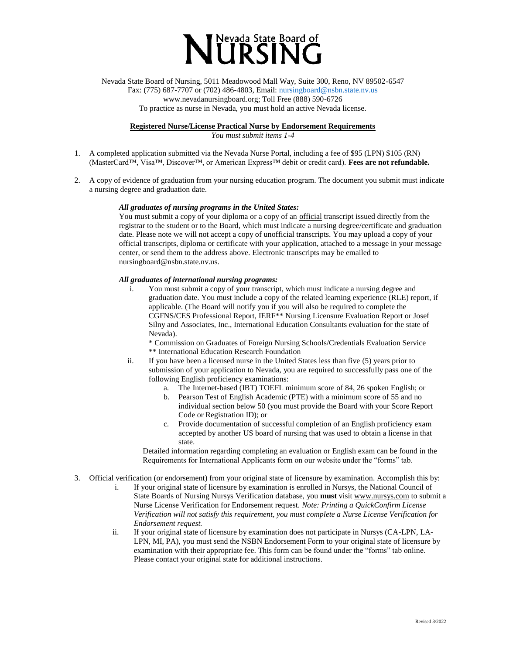

Nevada State Board of Nursing, 5011 Meadowood Mall Way, Suite 300, Reno, NV 89502-6547 Fax: (775) 687-7707 or (702) 486-4803, Email: [nursingboard@nsbn.state.nv.us](mailto:nursingboard@nsbn.state.nv.us) www.nevadanursingboard.org; Toll Free (888) 590-6726 To practice as nurse in Nevada, you must hold an active Nevada license.

**Registered Nurse/License Practical Nurse by Endorsement Requirements**

*You must submit items 1-4*

- 1. A completed application submitted via the Nevada Nurse Portal, including a fee of \$95 (LPN) \$105 (RN) (MasterCard™, Visa™, Discover™, or American Express™ debit or credit card). **Fees are not refundable.**
- 2. A copy of evidence of graduation from your nursing education program. The document you submit must indicate a nursing degree and graduation date.

## *All graduates of nursing programs in the United States:*

You must submit a copy of your diploma or a copy of an official transcript issued directly from the registrar to the student or to the Board, which must indicate a nursing degree/certificate and graduation date. Please note we will not accept a copy of unofficial transcripts. You may upload a copy of your official transcripts, diploma or certificate with your application, attached to a message in your message center, or send them to the address above. Electronic transcripts may be emailed to nursingboard@nsbn.state.nv.us.

## *All graduates of international nursing programs:*

You must submit a copy of your transcript, which must indicate a nursing degree and graduation date. You must include a copy of the related learning experience (RLE) report, if applicable. (The Board will notify you if you will also be required to complete the CGFNS/CES Professional Report, IERF\*\* Nursing Licensure Evaluation Report or Josef Silny and Associates, Inc., International Education Consultants evaluation for the state of Nevada).

\* Commission on Graduates of Foreign Nursing Schools/Credentials Evaluation Service \*\* International Education Research Foundation

- ii. If you have been a licensed nurse in the United States less than five (5) years prior to submission of your application to Nevada, you are required to successfully pass one of the following English proficiency examinations:
	- a. The Internet-based (IBT) TOEFL minimum score of 84, 26 spoken English; or
	- b. Pearson Test of English Academic (PTE) with a minimum score of 55 and no individual section below 50 (you must provide the Board with your Score Report Code or Registration ID); or
	- c. Provide documentation of successful completion of an English proficiency exam accepted by another US board of nursing that was used to obtain a license in that state.

Detailed information regarding completing an evaluation or English exam can be found in the Requirements for International Applicants form on our website under the "forms" tab.

- 3. Official verification (or endorsement) from your original state of licensure by examination. Accomplish this by:
	- i. If your original state of licensure by examination is enrolled in Nursys, the National Council of State Boards of Nursing Nursys Verification database, you **must** visit www.nursys.com to submit a Nurse License Verification for Endorsement request. *Note: Printing a QuickConfirm License Verification will not satisfy this requirement, you must complete a Nurse License Verification for Endorsement request.*
		- ii. If your original state of licensure by examination does not participate in Nursys (CA-LPN, LA-LPN, MI, PA), you must send the NSBN Endorsement Form to your original state of licensure by examination with their appropriate fee. This form can be found under the "forms" tab online. Please contact your original state for additional instructions.